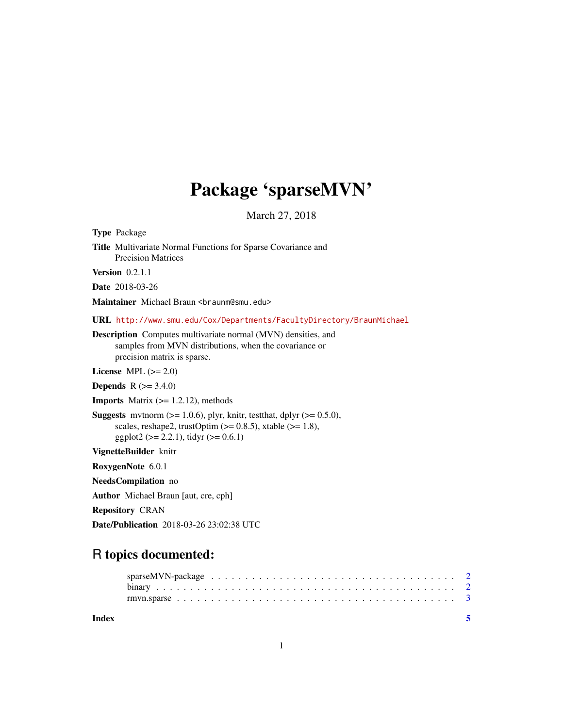# Package 'sparseMVN'

March 27, 2018

| <b>Type Package</b>                                                                                                                                                                                    |  |  |  |
|--------------------------------------------------------------------------------------------------------------------------------------------------------------------------------------------------------|--|--|--|
| <b>Title Multivariate Normal Functions for Sparse Covariance and</b><br><b>Precision Matrices</b>                                                                                                      |  |  |  |
| Version $0.2.1.1$                                                                                                                                                                                      |  |  |  |
| <b>Date</b> 2018-03-26                                                                                                                                                                                 |  |  |  |
| Maintainer Michael Braun<br>                                                                                                                                                                           |  |  |  |
| URL http://www.smu.edu/Cox/Departments/FacultyDirectory/BraunMichael                                                                                                                                   |  |  |  |
| <b>Description</b> Computes multivariate normal (MVN) densities, and<br>samples from MVN distributions, when the covariance or<br>precision matrix is sparse.                                          |  |  |  |
| License MPL $(>= 2.0)$                                                                                                                                                                                 |  |  |  |
| <b>Depends</b> $R (= 3.4.0)$                                                                                                                                                                           |  |  |  |
| <b>Imports</b> Matrix $(>= 1.2.12)$ , methods                                                                                                                                                          |  |  |  |
| <b>Suggests</b> mythorm $(>= 1.0.6)$ , plyr, knitr, test that, dplyr $(>= 0.5.0)$ ,<br>scales, reshape2, trustOptim $(>= 0.8.5)$ , xtable $(>= 1.8)$ ,<br>ggplot2 ( $>= 2.2.1$ ), tidyr ( $>= 0.6.1$ ) |  |  |  |
| VignetteBuilder knitr                                                                                                                                                                                  |  |  |  |
| RoxygenNote 6.0.1                                                                                                                                                                                      |  |  |  |
| NeedsCompilation no                                                                                                                                                                                    |  |  |  |
| <b>Author</b> Michael Braun [aut, cre, cph]                                                                                                                                                            |  |  |  |
| <b>Repository CRAN</b>                                                                                                                                                                                 |  |  |  |
|                                                                                                                                                                                                        |  |  |  |

Date/Publication 2018-03-26 23:02:38 UTC

# R topics documented:

| Index | $\sim$ |  |
|-------|--------|--|
|       |        |  |
|       |        |  |
|       |        |  |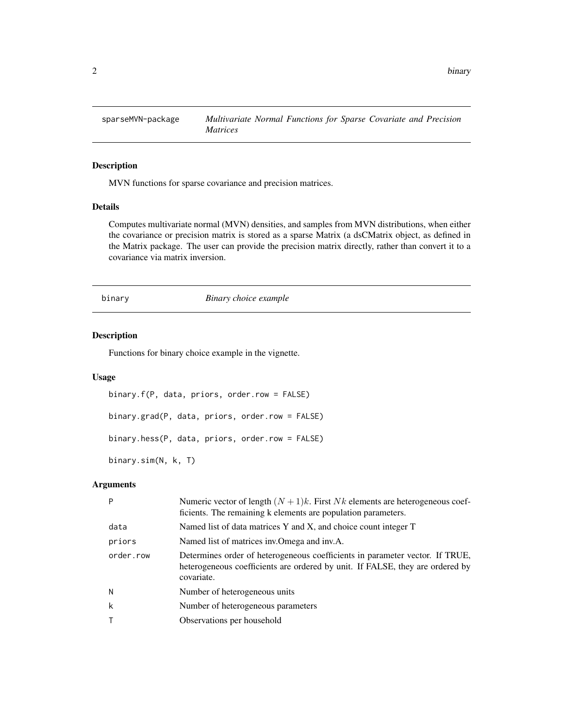<span id="page-1-0"></span>

# Description

MVN functions for sparse covariance and precision matrices.

# Details

Computes multivariate normal (MVN) densities, and samples from MVN distributions, when either the covariance or precision matrix is stored as a sparse Matrix (a dsCMatrix object, as defined in the Matrix package. The user can provide the precision matrix directly, rather than convert it to a covariance via matrix inversion.

binary *Binary choice example*

# Description

Functions for binary choice example in the vignette.

# Usage

```
binary.f(P, data, priors, order.row = FALSE)
binary.grad(P, data, priors, order.row = FALSE)
binary.hess(P, data, priors, order.row = FALSE)
binary.sim(N, k, T)
```
# Arguments

| P         | Numeric vector of length $(N + 1)k$ . First Nk elements are heterogeneous coef-<br>ficients. The remaining k elements are population parameters.                            |
|-----------|-----------------------------------------------------------------------------------------------------------------------------------------------------------------------------|
| data      | Named list of data matrices Y and X, and choice count integer T                                                                                                             |
| priors    | Named list of matrices inv. Omega and inv. A.                                                                                                                               |
| order.row | Determines order of heterogeneous coefficients in parameter vector. If TRUE,<br>heterogeneous coefficients are ordered by unit. If FALSE, they are ordered by<br>covariate. |
| N         | Number of heterogeneous units                                                                                                                                               |
| k         | Number of heterogeneous parameters                                                                                                                                          |
|           | Observations per household                                                                                                                                                  |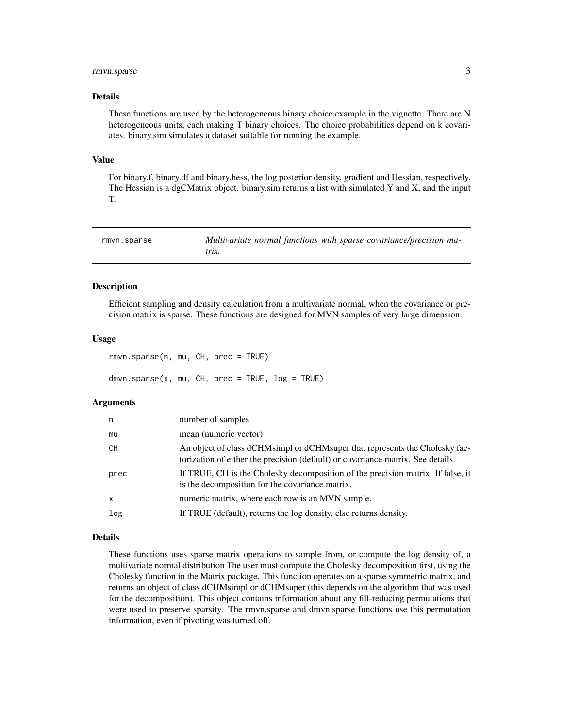# <span id="page-2-0"></span>rmvn.sparse 3

#### Details

These functions are used by the heterogeneous binary choice example in the vignette. There are N heterogeneous units, each making T binary choices. The choice probabilities depend on k covariates. binary.sim simulates a dataset suitable for running the example.

#### Value

For binary.f, binary.df and binary.hess, the log posterior density, gradient and Hessian, respectively. The Hessian is a dgCMatrix object. binary.sim returns a list with simulated Y and X, and the input T.

| rmvn.sparse | Multivariate normal functions with sparse covariance/precision ma- |
|-------------|--------------------------------------------------------------------|
|             | trix.                                                              |

### Description

Efficient sampling and density calculation from a multivariate normal, when the covariance or precision matrix is sparse. These functions are designed for MVN samples of very large dimension.

#### Usage

rmvn.sparse(n, mu, CH, prec = TRUE)  $dmvn.\nsparse(x, mu, CH, prec = TRUE, log = TRUE)$ 

#### Arguments

| n            | number of samples                                                                                                                                              |
|--------------|----------------------------------------------------------------------------------------------------------------------------------------------------------------|
| mu           | mean (numeric vector)                                                                                                                                          |
| CH           | An object of class dCHMsimpl or dCHMsuper that represents the Cholesky fac-<br>torization of either the precision (default) or covariance matrix. See details. |
| prec         | If TRUE, CH is the Cholesky decomposition of the precision matrix. If false, it<br>is the decomposition for the covariance matrix.                             |
| $\mathsf{x}$ | numeric matrix, where each row is an MVN sample.                                                                                                               |
| log          | If TRUE (default), returns the log density, else returns density.                                                                                              |

#### Details

These functions uses sparse matrix operations to sample from, or compute the log density of, a multivariate normal distribution The user must compute the Cholesky decomposition first, using the Cholesky function in the Matrix package. This function operates on a sparse symmetric matrix, and returns an object of class dCHMsimpl or dCHMsuper (this depends on the algorithm that was used for the decomposition). This object contains information about any fill-reducing permutations that were used to preserve sparsity. The rmvn.sparse and dmvn.sparse functions use this permutation information, even if pivoting was turned off.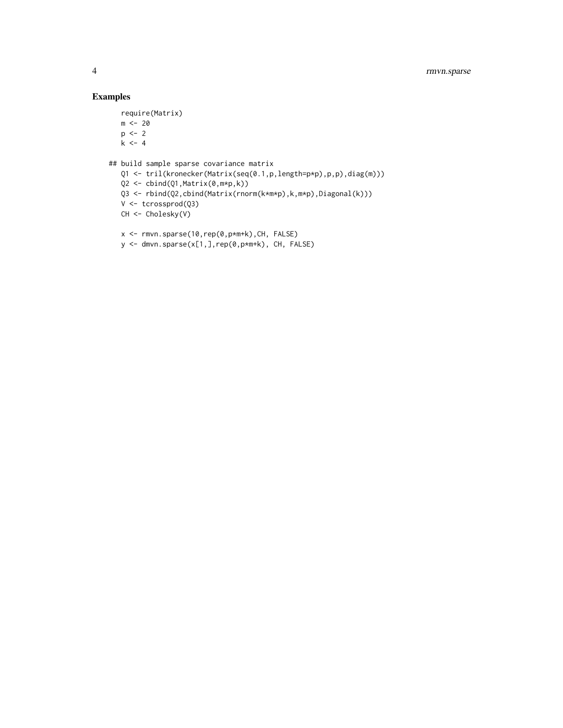# Examples

```
require(Matrix)
   m < -20p \leftarrow 2k \leq -4## build sample sparse covariance matrix
   Q1 <- tril(kronecker(Matrix(seq(0.1,p,length=p*p),p,p),diag(m)))
   Q2 \le -\text{cbind}(Q1, \text{Matrix}(0, m*p, k))Q3 <- rbind(Q2,cbind(Matrix(rnorm(k*m*p),k,m*p),Diagonal(k)))
   V <- tcrossprod(Q3)
   CH <- Cholesky(V)
   x <- rmvn.sparse(10,rep(0,p*m+k),CH, FALSE)
```

```
y <- dmvn.sparse(x[1,],rep(0,p*m+k), CH, FALSE)
```